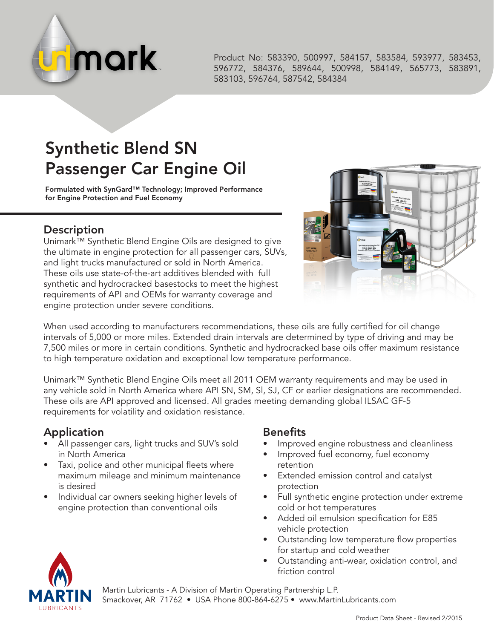

Product No: 583390, 500997, 584157, 583584, 593977, 583453, 596772, 584376, 589644, 500998, 584149, 565773, 583891, 583103, 596764, 587542, 584384

## Synthetic Blend SN Passenger Car Engine Oil

Formulated with SynGard™ Technology; Improved Performance for Engine Protection and Fuel Economy

## **Description**

Unimark™ Synthetic Blend Engine Oils are designed to give the ultimate in engine protection for all passenger cars, SUVs, and light trucks manufactured or sold in North America. These oils use state-of-the-art additives blended with full synthetic and hydrocracked basestocks to meet the highest requirements of API and OEMs for warranty coverage and engine protection under severe conditions.



When used according to manufacturers recommendations, these oils are fully certified for oil change intervals of 5,000 or more miles. Extended drain intervals are determined by type of driving and may be 7,500 miles or more in certain conditions. Synthetic and hydrocracked base oils offer maximum resistance to high temperature oxidation and exceptional low temperature performance.

Unimark™ Synthetic Blend Engine Oils meet all 2011 OEM warranty requirements and may be used in any vehicle sold in North America where API SN, SM, Sl, SJ, CF or earlier designations are recommended. These oils are API approved and licensed. All grades meeting demanding global ILSAC GF-5 requirements for volatility and oxidation resistance.

## Application

- All passenger cars, light trucks and SUV's sold in North America
- Taxi, police and other municipal fleets where maximum mileage and minimum maintenance is desired
- Individual car owners seeking higher levels of engine protection than conventional oils

## Benefits

- Improved engine robustness and cleanliness
- Improved fuel economy, fuel economy retention
- Extended emission control and catalyst protection
- Full synthetic engine protection under extreme cold or hot temperatures
- Added oil emulsion specification for E85 vehicle protection
- Outstanding low temperature flow properties for startup and cold weather
- Outstanding anti-wear, oxidation control, and friction control



Martin Lubricants - A Division of Martin Operating Partnership L.P. Smackover, AR 71762 • USA Phone 800-864-6275 • www.MartinLubricants.com